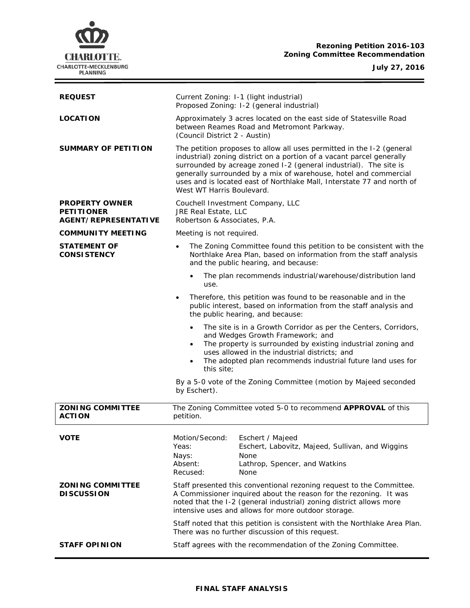

**Rezoning Petition 2016-103 Zoning Committee Recommendation**

**July 27, 2016**

 $\equiv$ 

| <b>REQUEST</b>                                                     | Current Zoning: I-1 (light industrial)<br>Proposed Zoning: I-2 (general industrial)                                                                                                                                                                                                                                                                                                            |
|--------------------------------------------------------------------|------------------------------------------------------------------------------------------------------------------------------------------------------------------------------------------------------------------------------------------------------------------------------------------------------------------------------------------------------------------------------------------------|
| <b>LOCATION</b>                                                    | Approximately 3 acres located on the east side of Statesville Road<br>between Reames Road and Metromont Parkway.<br>(Council District 2 - Austin)                                                                                                                                                                                                                                              |
| <b>SUMMARY OF PETITION</b>                                         | The petition proposes to allow all uses permitted in the I-2 (general<br>industrial) zoning district on a portion of a vacant parcel generally<br>surrounded by acreage zoned I-2 (general industrial). The site is<br>generally surrounded by a mix of warehouse, hotel and commercial<br>uses and is located east of Northlake Mall, Interstate 77 and north of<br>West WT Harris Boulevard. |
| <b>PROPERTY OWNER</b><br><b>PETITIONER</b><br>AGENT/REPRESENTATIVE | Couchell Investment Company, LLC<br>JRE Real Estate, LLC<br>Robertson & Associates, P.A.                                                                                                                                                                                                                                                                                                       |
| <b>COMMUNITY MEETING</b>                                           | Meeting is not required.                                                                                                                                                                                                                                                                                                                                                                       |
| <b>STATEMENT OF</b><br><b>CONSISTENCY</b>                          | The Zoning Committee found this petition to be consistent with the<br>$\bullet$<br>Northlake Area Plan, based on information from the staff analysis<br>and the public hearing, and because:                                                                                                                                                                                                   |
|                                                                    | The plan recommends industrial/warehouse/distribution land<br>$\bullet$<br>use.                                                                                                                                                                                                                                                                                                                |
|                                                                    | Therefore, this petition was found to be reasonable and in the<br>$\bullet$<br>public interest, based on information from the staff analysis and<br>the public hearing, and because:                                                                                                                                                                                                           |
|                                                                    | The site is in a Growth Corridor as per the Centers, Corridors,<br>$\bullet$<br>and Wedges Growth Framework; and<br>The property is surrounded by existing industrial zoning and<br>$\bullet$<br>uses allowed in the industrial districts; and<br>The adopted plan recommends industrial future land uses for<br>$\bullet$<br>this site;                                                       |
|                                                                    | By a 5-0 vote of the Zoning Committee (motion by Majeed seconded<br>by Eschert).                                                                                                                                                                                                                                                                                                               |
| <b>ZONING COMMITTEE</b><br><b>ACTION</b>                           | The Zoning Committee voted 5-0 to recommend APPROVAL of this<br>petition.                                                                                                                                                                                                                                                                                                                      |
| <b>VOTE</b>                                                        | Motion/Second:<br>Eschert / Majeed<br>Yeas:<br>Eschert, Labovitz, Majeed, Sullivan, and Wiggins<br>None<br>Nays:<br>Absent:<br>Lathrop, Spencer, and Watkins<br>Recused:<br>None                                                                                                                                                                                                               |
| <b>ZONING COMMITTEE</b><br><b>DISCUSSION</b>                       | Staff presented this conventional rezoning request to the Committee.<br>A Commissioner inquired about the reason for the rezoning. It was<br>noted that the I-2 (general industrial) zoning district allows more<br>intensive uses and allows for more outdoor storage.                                                                                                                        |
|                                                                    | Staff noted that this petition is consistent with the Northlake Area Plan.<br>There was no further discussion of this request.                                                                                                                                                                                                                                                                 |
| <b>STAFF OPINION</b>                                               | Staff agrees with the recommendation of the Zoning Committee.                                                                                                                                                                                                                                                                                                                                  |